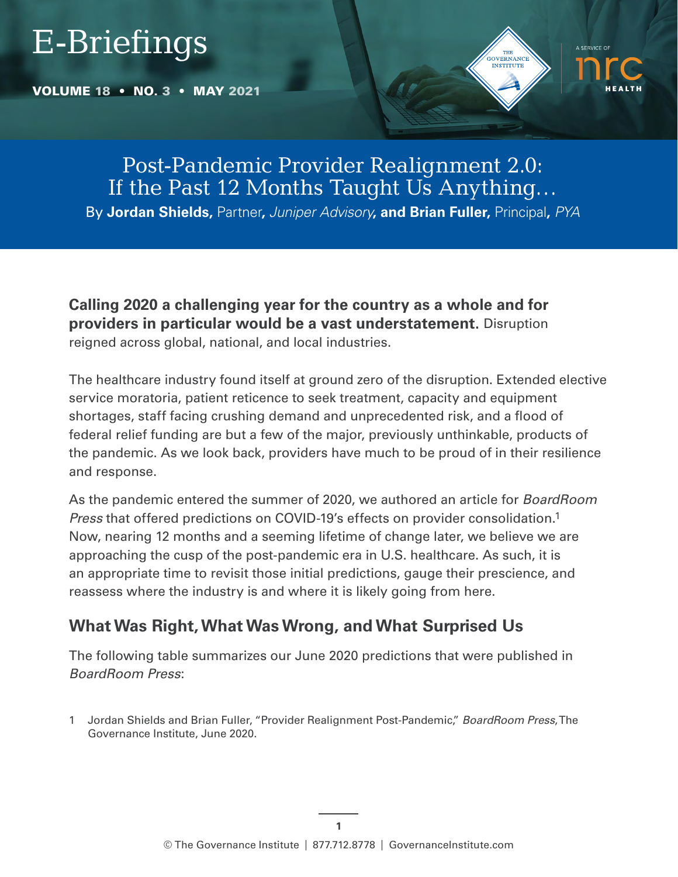# E-Briefings

VOLUME 18 • NO. 3 • MAY 2021





# Post-Pandemic Provider Realignment 2.0: If the Past 12 Months Taught Us Anything…

By **Jordan Shields,** Partner**,** *Juniper Advisory***, and Brian Fuller,** Principal**,** *PYA*

**Calling 2020 a challenging year for the country as a whole and for providers in particular would be a vast understatement.** Disruption reigned across global, national, and local industries.

The healthcare industry found itself at ground zero of the disruption. Extended elective service moratoria, patient reticence to seek treatment, capacity and equipment shortages, staff facing crushing demand and unprecedented risk, and a flood of federal relief funding are but a few of the major, previously unthinkable, products of the pandemic. As we look back, providers have much to be proud of in their resilience and response.

As the pandemic entered the summer of 2020, we authored an article for *BoardRoom Press* that offered predictions on COVID-19's effects on provider consolidation.1 Now, nearing 12 months and a seeming lifetime of change later, we believe we are approaching the cusp of the post-pandemic era in U.S. healthcare. As such, it is an appropriate time to revisit those initial predictions, gauge their prescience, and reassess where the industry is and where it is likely going from here.

# **What Was Right, What Was Wrong, and What Surprised Us**

The following table summarizes our June 2020 predictions that were published in *BoardRoom Press*:

1 Jordan Shields and Brian Fuller, "Provider Realignment Post-Pandemic," *BoardRoom Press*, The Governance Institute, June 2020.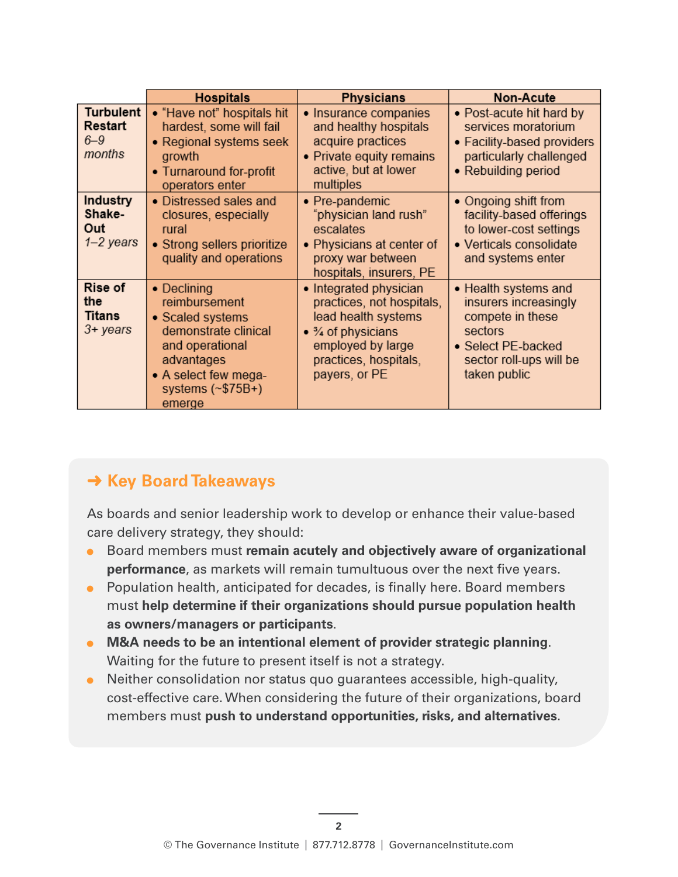|                                                   | <b>Hospitals</b>                                                                                                                                                       | <b>Physicians</b>                                                                                                                                              | <b>Non-Acute</b>                                                                                                                              |
|---------------------------------------------------|------------------------------------------------------------------------------------------------------------------------------------------------------------------------|----------------------------------------------------------------------------------------------------------------------------------------------------------------|-----------------------------------------------------------------------------------------------------------------------------------------------|
| <b>Turbulent</b><br>Restart<br>$6 - 9$<br>months  | • "Have not" hospitals hit<br>hardest, some will fail<br>• Regional systems seek<br>growth<br>• Turnaround for-profit<br>operators enter                               | • Insurance companies<br>and healthy hospitals<br>acquire practices<br>• Private equity remains<br>active, but at lower<br>multiples                           | • Post-acute hit hard by<br>services moratorium<br>• Facility-based providers<br>particularly challenged<br>• Rebuilding period               |
| <b>Industry</b><br>Shake-<br>Out<br>$1 - 2$ years | • Distressed sales and<br>closures, especially<br>rural<br>• Strong sellers prioritize<br>quality and operations                                                       | • Pre-pandemic<br>"physician land rush"<br>escalates<br>• Physicians at center of<br>proxy war between<br>hospitals, insurers, PE                              | • Ongoing shift from<br>facility-based offerings<br>to lower-cost settings<br>• Verticals consolidate<br>and systems enter                    |
| Rise of<br>the<br><b>Titans</b><br>3+ years       | • Declining<br>reimbursement<br>• Scaled systems<br>demonstrate clinical<br>and operational<br>advantages<br>• A select few mega-<br>systems $(\sim$ \$75B+)<br>emerge | • Integrated physician<br>practices, not hospitals,<br>lead health systems<br>• % of physicians<br>employed by large<br>practices, hospitals,<br>payers, or PE | • Health systems and<br>insurers increasingly<br>compete in these<br>sectors<br>• Select PE-backed<br>sector roll-ups will be<br>taken public |

# **→ Key Board Takeaways**

As boards and senior leadership work to develop or enhance their value-based care delivery strategy, they should:

- Board members must **remain acutely and objectively aware of organizational performance**, as markets will remain tumultuous over the next five years.
- Population health, anticipated for decades, is finally here. Board members must **help determine if their organizations should pursue population health as owners/managers or participants**.
- **M&A needs to be an intentional element of provider strategic planning**. Waiting for the future to present itself is not a strategy.
- Neither consolidation nor status quo guarantees accessible, high-quality, cost-effective care. When considering the future of their organizations, board members must **push to understand opportunities, risks, and alternatives**.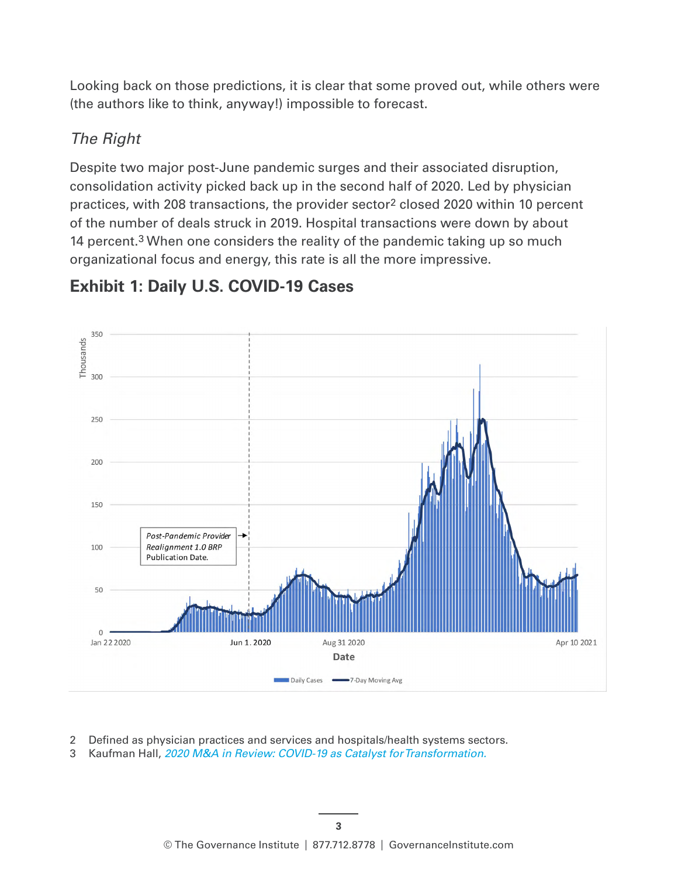Looking back on those predictions, it is clear that some proved out, while others were (the authors like to think, anyway!) impossible to forecast.

#### *The Right*

Despite two major post-June pandemic surges and their associated disruption, consolidation activity picked back up in the second half of 2020. Led by physician practices, with 208 transactions, the provider sector<sup>2</sup> closed 2020 within 10 percent of the number of deals struck in 2019. Hospital transactions were down by about 14 percent.<sup>3</sup> When one considers the reality of the pandemic taking up so much organizational focus and energy, this rate is all the more impressive.



# **Exhibit 1: Daily U.S. COVID-19 Cases**

- 2 Defined as physician practices and services and hospitals/health systems sectors.
- 3 Kaufman Hall, *[2020 M&A in Review: COVID-19 as Catalyst for Transformation.](https://www.kaufmanhall.com/ideas-resources/research-report/2020-mergers-acquisitions-review-covid-19-catalyst-transformation)*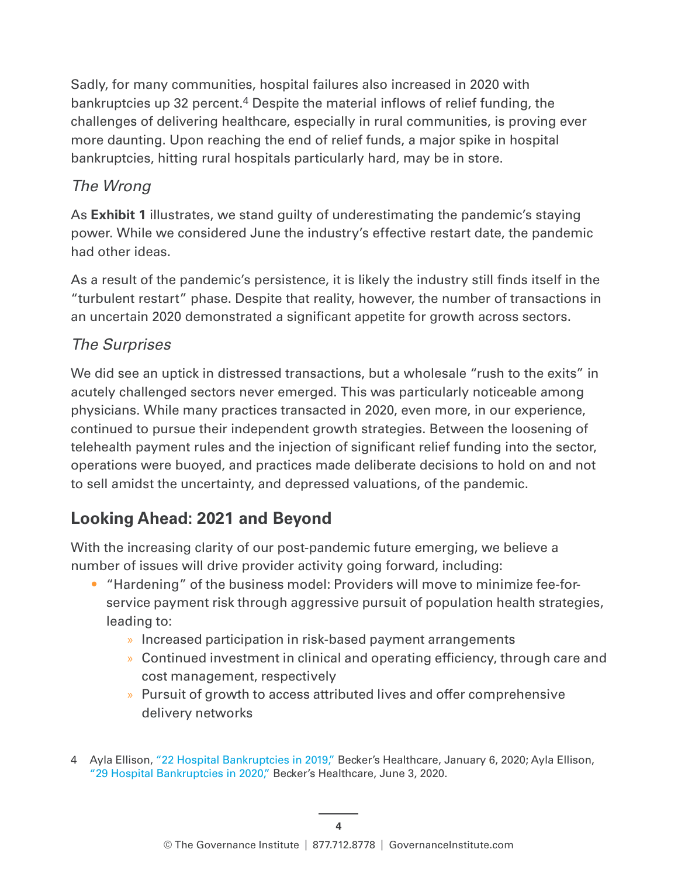Sadly, for many communities, hospital failures also increased in 2020 with bankruptcies up 32 percent.4 Despite the material inflows of relief funding, the challenges of delivering healthcare, especially in rural communities, is proving ever more daunting. Upon reaching the end of relief funds, a major spike in hospital bankruptcies, hitting rural hospitals particularly hard, may be in store.

#### *The Wrong*

As **Exhibit 1** illustrates, we stand guilty of underestimating the pandemic's staying power. While we considered June the industry's effective restart date, the pandemic had other ideas.

As a result of the pandemic's persistence, it is likely the industry still finds itself in the "turbulent restart" phase. Despite that reality, however, the number of transactions in an uncertain 2020 demonstrated a significant appetite for growth across sectors.

#### *The Surprises*

We did see an uptick in distressed transactions, but a wholesale "rush to the exits" in acutely challenged sectors never emerged. This was particularly noticeable among physicians. While many practices transacted in 2020, even more, in our experience, continued to pursue their independent growth strategies. Between the loosening of telehealth payment rules and the injection of significant relief funding into the sector, operations were buoyed, and practices made deliberate decisions to hold on and not to sell amidst the uncertainty, and depressed valuations, of the pandemic.

### **Looking Ahead: 2021 and Beyond**

With the increasing clarity of our post-pandemic future emerging, we believe a number of issues will drive provider activity going forward, including:

- "Hardening" of the business model: Providers will move to minimize fee-forservice payment risk through aggressive pursuit of population health strategies, leading to:
	- » Increased participation in risk-based payment arrangements
	- » Continued investment in clinical and operating efficiency, through care and cost management, respectively
	- » Pursuit of growth to access attributed lives and offer comprehensive delivery networks
- 4 Ayla Ellison, ["22 Hospital Bankruptcies in 2019,"](https://www.beckershospitalreview.com/finance/22-hospital-bankruptcies-in-2019.html) Becker's Healthcare, January 6, 2020; Ayla Ellison, ["29 Hospital Bankruptcies in 2020,"](https://www.beckershospitalreview.com/finance/29-hospital-bankruptcies-in-2020.html) Becker's Healthcare, June 3, 2020.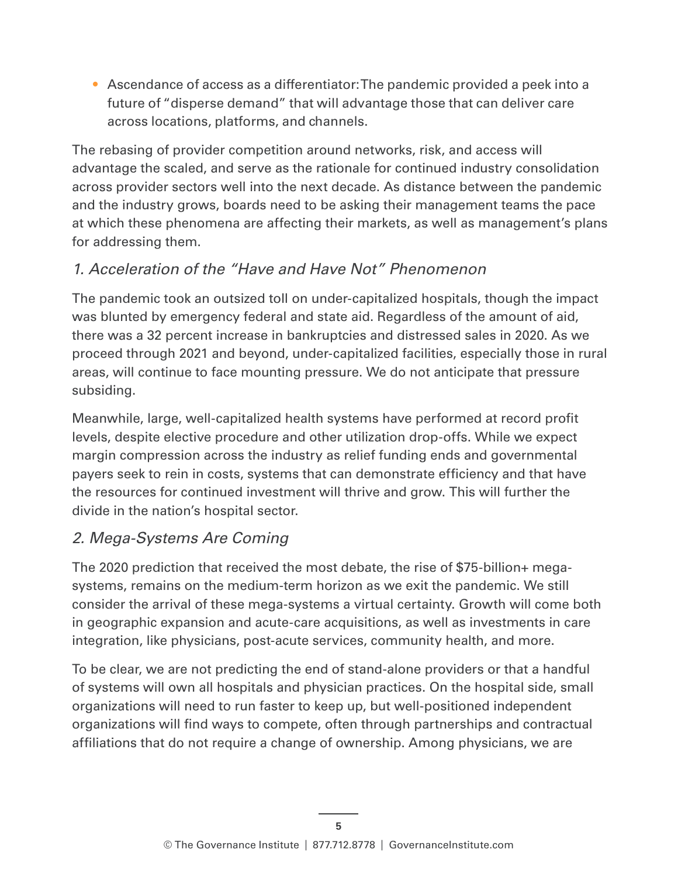• Ascendance of access as a differentiator: The pandemic provided a peek into a future of "disperse demand" that will advantage those that can deliver care across locations, platforms, and channels.

The rebasing of provider competition around networks, risk, and access will advantage the scaled, and serve as the rationale for continued industry consolidation across provider sectors well into the next decade. As distance between the pandemic and the industry grows, boards need to be asking their management teams the pace at which these phenomena are affecting their markets, as well as management's plans for addressing them.

#### *1. Acceleration of the "Have and Have Not" Phenomenon*

The pandemic took an outsized toll on under-capitalized hospitals, though the impact was blunted by emergency federal and state aid. Regardless of the amount of aid, there was a 32 percent increase in bankruptcies and distressed sales in 2020. As we proceed through 2021 and beyond, under-capitalized facilities, especially those in rural areas, will continue to face mounting pressure. We do not anticipate that pressure subsiding.

Meanwhile, large, well-capitalized health systems have performed at record profit levels, despite elective procedure and other utilization drop-offs. While we expect margin compression across the industry as relief funding ends and governmental payers seek to rein in costs, systems that can demonstrate efficiency and that have the resources for continued investment will thrive and grow. This will further the divide in the nation's hospital sector.

#### *2. Mega-Systems Are Coming*

The 2020 prediction that received the most debate, the rise of \$75-billion+ megasystems, remains on the medium-term horizon as we exit the pandemic. We still consider the arrival of these mega-systems a virtual certainty. Growth will come both in geographic expansion and acute-care acquisitions, as well as investments in care integration, like physicians, post-acute services, community health, and more.

To be clear, we are not predicting the end of stand-alone providers or that a handful of systems will own all hospitals and physician practices. On the hospital side, small organizations will need to run faster to keep up, but well-positioned independent organizations will find ways to compete, often through partnerships and contractual affiliations that do not require a change of ownership. Among physicians, we are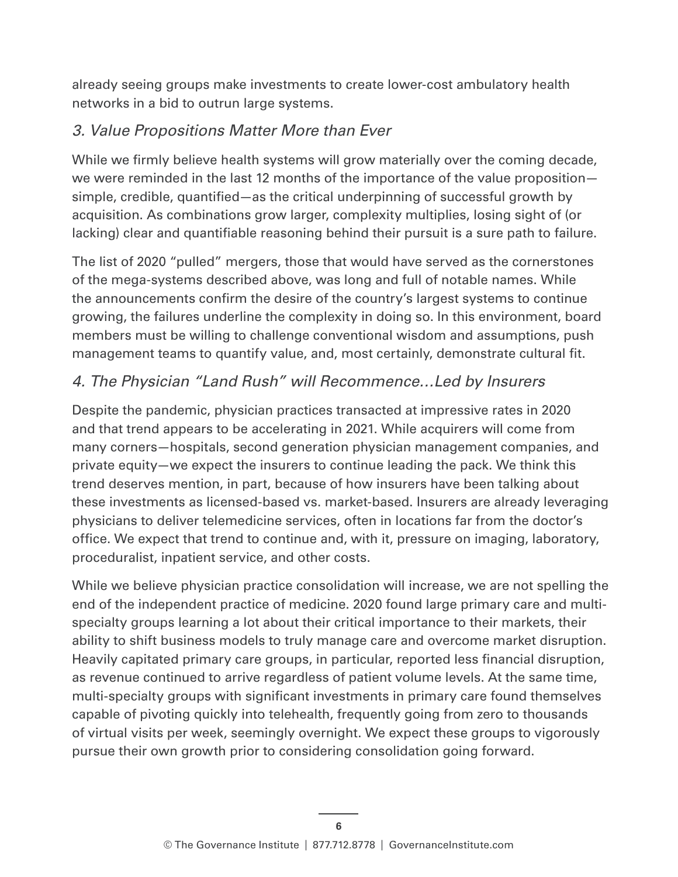already seeing groups make investments to create lower-cost ambulatory health networks in a bid to outrun large systems.

#### *3. Value Propositions Matter More than Ever*

While we firmly believe health systems will grow materially over the coming decade, we were reminded in the last 12 months of the importance of the value proposition simple, credible, quantified—as the critical underpinning of successful growth by acquisition. As combinations grow larger, complexity multiplies, losing sight of (or lacking) clear and quantifiable reasoning behind their pursuit is a sure path to failure.

The list of 2020 "pulled" mergers, those that would have served as the cornerstones of the mega-systems described above, was long and full of notable names. While the announcements confirm the desire of the country's largest systems to continue growing, the failures underline the complexity in doing so. In this environment, board members must be willing to challenge conventional wisdom and assumptions, push management teams to quantify value, and, most certainly, demonstrate cultural fit.

#### *4. The Physician "Land Rush" will Recommence…Led by Insurers*

Despite the pandemic, physician practices transacted at impressive rates in 2020 and that trend appears to be accelerating in 2021. While acquirers will come from many corners—hospitals, second generation physician management companies, and private equity—we expect the insurers to continue leading the pack. We think this trend deserves mention, in part, because of how insurers have been talking about these investments as licensed-based vs. market-based. Insurers are already leveraging physicians to deliver telemedicine services, often in locations far from the doctor's office. We expect that trend to continue and, with it, pressure on imaging, laboratory, proceduralist, inpatient service, and other costs.

While we believe physician practice consolidation will increase, we are not spelling the end of the independent practice of medicine. 2020 found large primary care and multispecialty groups learning a lot about their critical importance to their markets, their ability to shift business models to truly manage care and overcome market disruption. Heavily capitated primary care groups, in particular, reported less financial disruption, as revenue continued to arrive regardless of patient volume levels. At the same time, multi-specialty groups with significant investments in primary care found themselves capable of pivoting quickly into telehealth, frequently going from zero to thousands of virtual visits per week, seemingly overnight. We expect these groups to vigorously pursue their own growth prior to considering consolidation going forward.